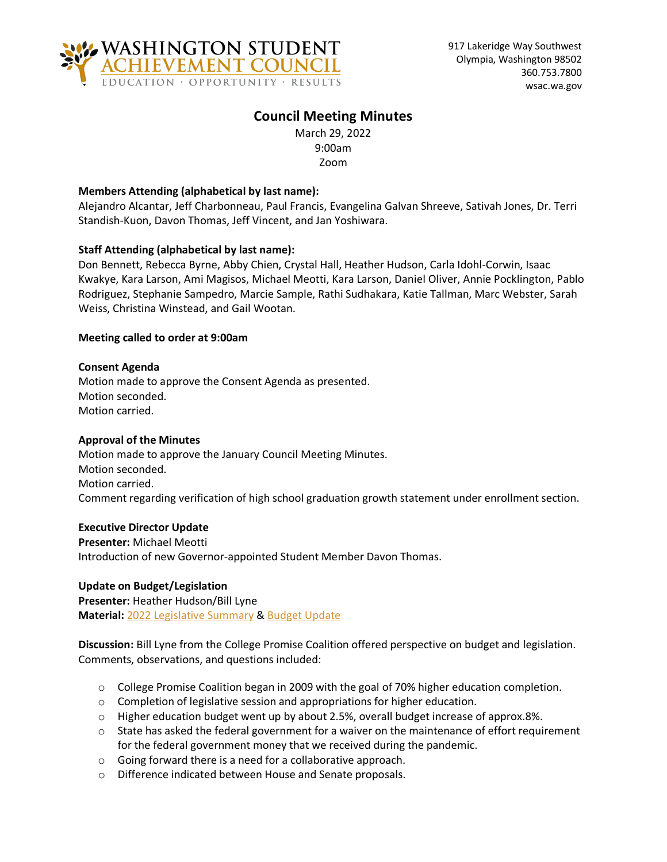

### **Council Meeting Minutes**

March 29, 2022 9:00am Zoom

### **Members Attending (alphabetical by last name):**

Alejandro Alcantar, Jeff Charbonneau, Paul Francis, Evangelina Galvan Shreeve, Sativah Jones, Dr. Terri Standish-Kuon, Davon Thomas, Jeff Vincent, and Jan Yoshiwara.

### **Staff Attending (alphabetical by last name):**

Don Bennett, Rebecca Byrne, Abby Chien, Crystal Hall, Heather Hudson, Carla Idohl-Corwin, Isaac Kwakye, Kara Larson, Ami Magisos, Michael Meotti, Kara Larson, Daniel Oliver, Annie Pocklington, Pablo Rodriguez, Stephanie Sampedro, Marcie Sample, Rathi Sudhakara, Katie Tallman, Marc Webster, Sarah Weiss, Christina Winstead, and Gail Wootan.

#### **Meeting called to order at 9:00am**

#### **Consent Agenda**

Motion made to approve the Consent Agenda as presented. Motion seconded. Motion carried.

#### **Approval of the Minutes**

Motion made to approve the January Council Meeting Minutes. Motion seconded. Motion carried. Comment regarding verification of high school graduation growth statement under enrollment section.

#### **Executive Director Update**

**Presenter:** Michael Meotti Introduction of new Governor-appointed Student Member Davon Thomas.

# **Update on Budget/Legislation**

**Presenter:** Heather Hudson/Bill Lyne **Material:** [2022 Legislative Summary](https://stateofwa.sharepoint.com/sites/WSAC-Agency/Shared%20Documents/Council%20Meetings/2022/2022.03.29_Virtual/To%20post%20online/2022-03-29-0142-Legislative-Update.pdf) & Budget Update

**Discussion:** Bill Lyne from the College Promise Coalition offered perspective on budget and legislation. Comments, observations, and questions included:

- o College Promise Coalition began in 2009 with the goal of 70% higher education completion.
- o Completion of legislative session and appropriations for higher education.
- o Higher education budget went up by about 2.5%, overall budget increase of approx.8%.
- $\circ$  State has asked the federal government for a waiver on the maintenance of effort requirement for the federal government money that we received during the pandemic.
- o Going forward there is a need for a collaborative approach.
- o Difference indicated between House and Senate proposals.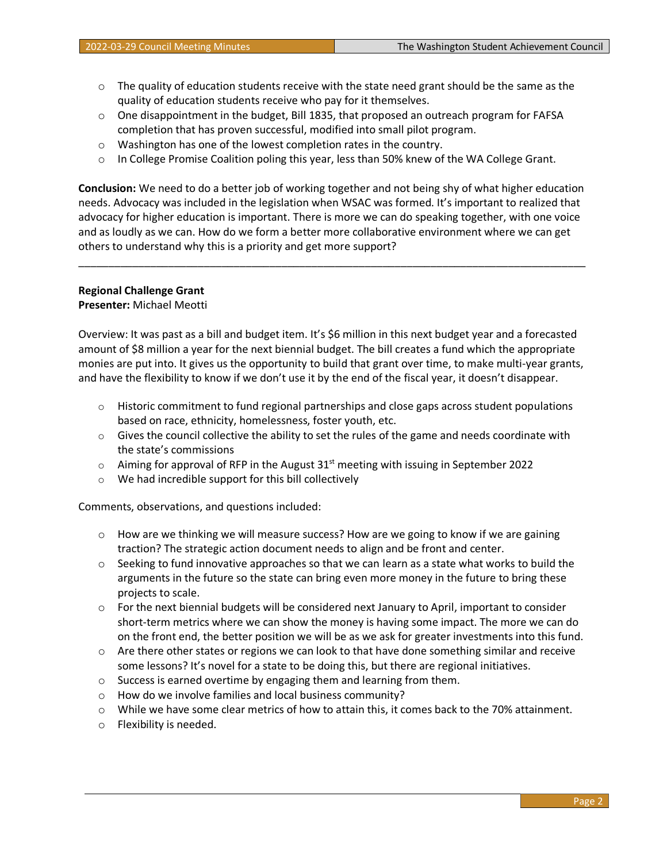- $\circ$  The quality of education students receive with the state need grant should be the same as the quality of education students receive who pay for it themselves.
- o One disappointment in the budget, Bill 1835, that proposed an outreach program for FAFSA completion that has proven successful, modified into small pilot program.
- o Washington has one of the lowest completion rates in the country.
- o In College Promise Coalition poling this year, less than 50% knew of the WA College Grant.

**Conclusion:** We need to do a better job of working together and not being shy of what higher education needs. Advocacy was included in the legislation when WSAC was formed. It's important to realized that advocacy for higher education is important. There is more we can do speaking together, with one voice and as loudly as we can. How do we form a better more collaborative environment where we can get others to understand why this is a priority and get more support?

\_\_\_\_\_\_\_\_\_\_\_\_\_\_\_\_\_\_\_\_\_\_\_\_\_\_\_\_\_\_\_\_\_\_\_\_\_\_\_\_\_\_\_\_\_\_\_\_\_\_\_\_\_\_\_\_\_\_\_\_\_\_\_\_\_\_\_\_\_\_\_\_\_\_\_\_\_\_\_\_\_\_\_\_\_

#### **Regional Challenge Grant**

#### **Presenter:** Michael Meotti

Overview: It was past as a bill and budget item. It's \$6 million in this next budget year and a forecasted amount of \$8 million a year for the next biennial budget. The bill creates a fund which the appropriate monies are put into. It gives us the opportunity to build that grant over time, to make multi-year grants, and have the flexibility to know if we don't use it by the end of the fiscal year, it doesn't disappear.

- $\circ$  Historic commitment to fund regional partnerships and close gaps across student populations based on race, ethnicity, homelessness, foster youth, etc.
- $\circ$  Gives the council collective the ability to set the rules of the game and needs coordinate with the state's commissions
- $\circ$  Aiming for approval of RFP in the August 31<sup>st</sup> meeting with issuing in September 2022
- o We had incredible support for this bill collectively

Comments, observations, and questions included:

- $\circ$  How are we thinking we will measure success? How are we going to know if we are gaining traction? The strategic action document needs to align and be front and center.
- $\circ$  Seeking to fund innovative approaches so that we can learn as a state what works to build the arguments in the future so the state can bring even more money in the future to bring these projects to scale.
- $\circ$  For the next biennial budgets will be considered next January to April, important to consider short-term metrics where we can show the money is having some impact. The more we can do on the front end, the better position we will be as we ask for greater investments into this fund.
- $\circ$  Are there other states or regions we can look to that have done something similar and receive some lessons? It's novel for a state to be doing this, but there are regional initiatives.
- o Success is earned overtime by engaging them and learning from them.
- o How do we involve families and local business community?
- $\circ$  While we have some clear metrics of how to attain this, it comes back to the 70% attainment.
- o Flexibility is needed.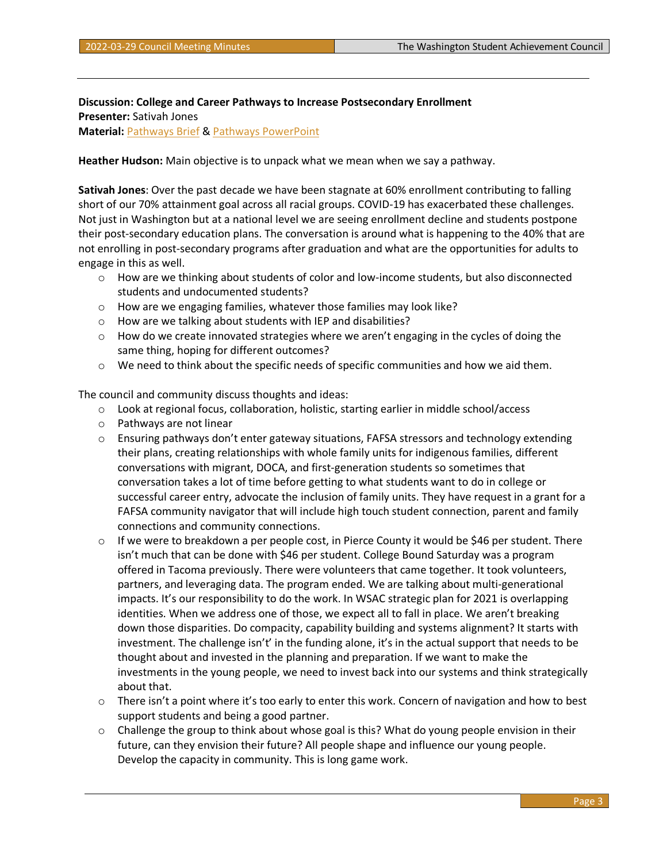**Discussion: College and Career Pathways to Increase Postsecondary Enrollment Presenter:** Sativah Jones **Material:** [Pathways Brief](https://stateofwa.sharepoint.com/sites/WSAC-Agency/Shared%20Documents/Council%20Meetings/2022/2022.03.29_Virtual/To%20post%20online/2022-03-29-0241-Pathways-Brief.pdf) & [Pathways PowerPoint](https://stateofwa.sharepoint.com/sites/WSAC-Agency/Shared%20Documents/Council%20Meetings/2022/2022.03.29_Virtual/2022-03-29-0231-Pathways.pptx)

**Heather Hudson:** Main objective is to unpack what we mean when we say a pathway.

**Sativah Jones**: Over the past decade we have been stagnate at 60% enrollment contributing to falling short of our 70% attainment goal across all racial groups. COVID-19 has exacerbated these challenges. Not just in Washington but at a national level we are seeing enrollment decline and students postpone their post-secondary education plans. The conversation is around what is happening to the 40% that are not enrolling in post-secondary programs after graduation and what are the opportunities for adults to engage in this as well.

- $\circ$  How are we thinking about students of color and low-income students, but also disconnected students and undocumented students?
- $\circ$  How are we engaging families, whatever those families may look like?
- o How are we talking about students with IEP and disabilities?
- o How do we create innovated strategies where we aren't engaging in the cycles of doing the same thing, hoping for different outcomes?
- $\circ$  We need to think about the specific needs of specific communities and how we aid them.

The council and community discuss thoughts and ideas:

- o Look at regional focus, collaboration, holistic, starting earlier in middle school/access
- o Pathways are not linear
- $\circ$  Ensuring pathways don't enter gateway situations, FAFSA stressors and technology extending their plans, creating relationships with whole family units for indigenous families, different conversations with migrant, DOCA, and first-generation students so sometimes that conversation takes a lot of time before getting to what students want to do in college or successful career entry, advocate the inclusion of family units. They have request in a grant for a FAFSA community navigator that will include high touch student connection, parent and family connections and community connections.
- $\circ$  If we were to breakdown a per people cost, in Pierce County it would be \$46 per student. There isn't much that can be done with \$46 per student. College Bound Saturday was a program offered in Tacoma previously. There were volunteers that came together. It took volunteers, partners, and leveraging data. The program ended. We are talking about multi-generational impacts. It's our responsibility to do the work. In WSAC strategic plan for 2021 is overlapping identities. When we address one of those, we expect all to fall in place. We aren't breaking down those disparities. Do compacity, capability building and systems alignment? It starts with investment. The challenge isn't' in the funding alone, it's in the actual support that needs to be thought about and invested in the planning and preparation. If we want to make the investments in the young people, we need to invest back into our systems and think strategically about that.
- $\circ$  There isn't a point where it's too early to enter this work. Concern of navigation and how to best support students and being a good partner.
- o Challenge the group to think about whose goal is this? What do young people envision in their future, can they envision their future? All people shape and influence our young people. Develop the capacity in community. This is long game work.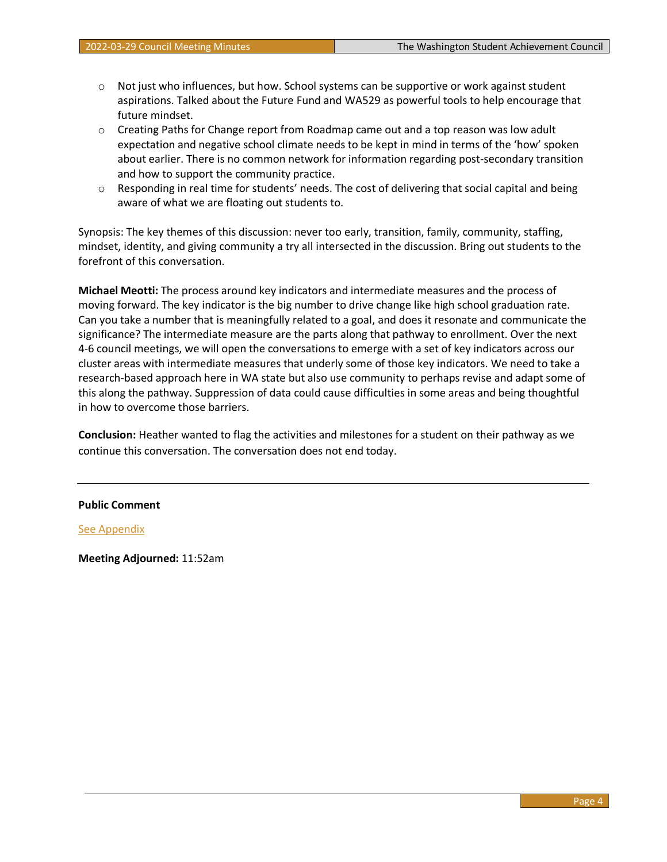- $\circ$  Not just who influences, but how. School systems can be supportive or work against student aspirations. Talked about the Future Fund and WA529 as powerful tools to help encourage that future mindset.
- o Creating Paths for Change report from Roadmap came out and a top reason was low adult expectation and negative school climate needs to be kept in mind in terms of the 'how' spoken about earlier. There is no common network for information regarding post-secondary transition and how to support the community practice.
- $\circ$  Responding in real time for students' needs. The cost of delivering that social capital and being aware of what we are floating out students to.

Synopsis: The key themes of this discussion: never too early, transition, family, community, staffing, mindset, identity, and giving community a try all intersected in the discussion. Bring out students to the forefront of this conversation.

**Michael Meotti:** The process around key indicators and intermediate measures and the process of moving forward. The key indicator is the big number to drive change like high school graduation rate. Can you take a number that is meaningfully related to a goal, and does it resonate and communicate the significance? The intermediate measure are the parts along that pathway to enrollment. Over the next 4-6 council meetings, we will open the conversations to emerge with a set of key indicators across our cluster areas with intermediate measures that underly some of those key indicators. We need to take a research-based approach here in WA state but also use community to perhaps revise and adapt some of this along the pathway. Suppression of data could cause difficulties in some areas and being thoughtful in how to overcome those barriers.

**Conclusion:** Heather wanted to flag the activities and milestones for a student on their pathway as we continue this conversation. The conversation does not end today.

#### **Public Comment**

#### [See Appendix](https://stateofwa.sharepoint.com/sites/WSAC-Agency/Shared%20Documents/Council%20Meetings/2022/2022.03.29_Virtual/Zoom%20files/GMT20220329-152649_Recording.transcript%20(1).vtt)

**Meeting Adjourned:** 11:52am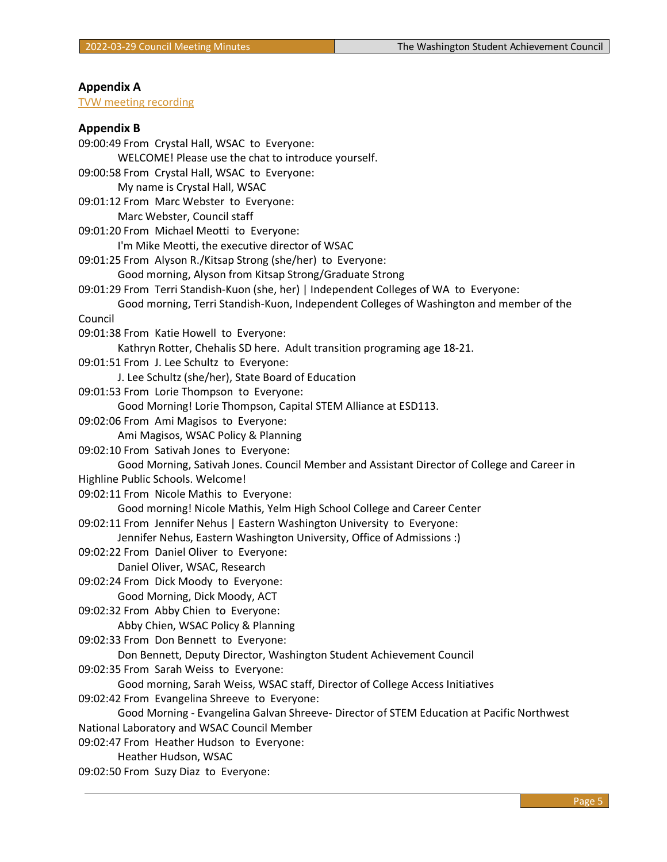# **Appendix A**

### [TVW meeting recording](https://stateofwa.sharepoint.com/sites/WSAC-Agency/Shared%20Documents/Council%20Meetings/2022/2022.03.29_Virtual/Zoom%20files/GMT20220329-152649_Recording_1920x1080%20(1).mp4)

# **Appendix B**

| 09:00:49 From Crystal Hall, WSAC to Everyone:                                               |  |
|---------------------------------------------------------------------------------------------|--|
| WELCOME! Please use the chat to introduce yourself.                                         |  |
| 09:00:58 From Crystal Hall, WSAC to Everyone:                                               |  |
| My name is Crystal Hall, WSAC                                                               |  |
| 09:01:12 From Marc Webster to Everyone:                                                     |  |
| Marc Webster, Council staff                                                                 |  |
| 09:01:20 From Michael Meotti to Everyone:                                                   |  |
| I'm Mike Meotti, the executive director of WSAC                                             |  |
| 09:01:25 From Alyson R./Kitsap Strong (she/her) to Everyone:                                |  |
| Good morning, Alyson from Kitsap Strong/Graduate Strong                                     |  |
| 09:01:29 From Terri Standish-Kuon (she, her)   Independent Colleges of WA to Everyone:      |  |
| Good morning, Terri Standish-Kuon, Independent Colleges of Washington and member of the     |  |
| Council                                                                                     |  |
| 09:01:38 From Katie Howell to Everyone:                                                     |  |
| Kathryn Rotter, Chehalis SD here. Adult transition programing age 18-21.                    |  |
| 09:01:51 From J. Lee Schultz to Everyone:                                                   |  |
| J. Lee Schultz (she/her), State Board of Education                                          |  |
| 09:01:53 From Lorie Thompson to Everyone:                                                   |  |
| Good Morning! Lorie Thompson, Capital STEM Alliance at ESD113.                              |  |
| 09:02:06 From Ami Magisos to Everyone:                                                      |  |
| Ami Magisos, WSAC Policy & Planning                                                         |  |
| 09:02:10 From Sativah Jones to Everyone:                                                    |  |
| Good Morning, Sativah Jones. Council Member and Assistant Director of College and Career in |  |
| Highline Public Schools. Welcome!                                                           |  |
| 09:02:11 From Nicole Mathis to Everyone:                                                    |  |
| Good morning! Nicole Mathis, Yelm High School College and Career Center                     |  |
| 09:02:11 From Jennifer Nehus   Eastern Washington University to Everyone:                   |  |
| Jennifer Nehus, Eastern Washington University, Office of Admissions :)                      |  |
| 09:02:22 From Daniel Oliver to Everyone:                                                    |  |
| Daniel Oliver, WSAC, Research                                                               |  |
| 09:02:24 From Dick Moody to Everyone:                                                       |  |
| Good Morning, Dick Moody, ACT                                                               |  |
| 09:02:32 From Abby Chien to Everyone:                                                       |  |
| Abby Chien, WSAC Policy & Planning                                                          |  |
| 09:02:33 From Don Bennett to Everyone:                                                      |  |
| Don Bennett, Deputy Director, Washington Student Achievement Council                        |  |
| 09:02:35 From Sarah Weiss to Everyone:                                                      |  |
| Good morning, Sarah Weiss, WSAC staff, Director of College Access Initiatives               |  |
| 09:02:42 From Evangelina Shreeve to Everyone:                                               |  |
| Good Morning - Evangelina Galvan Shreeve- Director of STEM Education at Pacific Northwest   |  |
| National Laboratory and WSAC Council Member                                                 |  |
| 09:02:47 From Heather Hudson to Everyone:                                                   |  |
| Heather Hudson, WSAC                                                                        |  |
| 09:02:50 From Suzy Diaz to Everyone:                                                        |  |
|                                                                                             |  |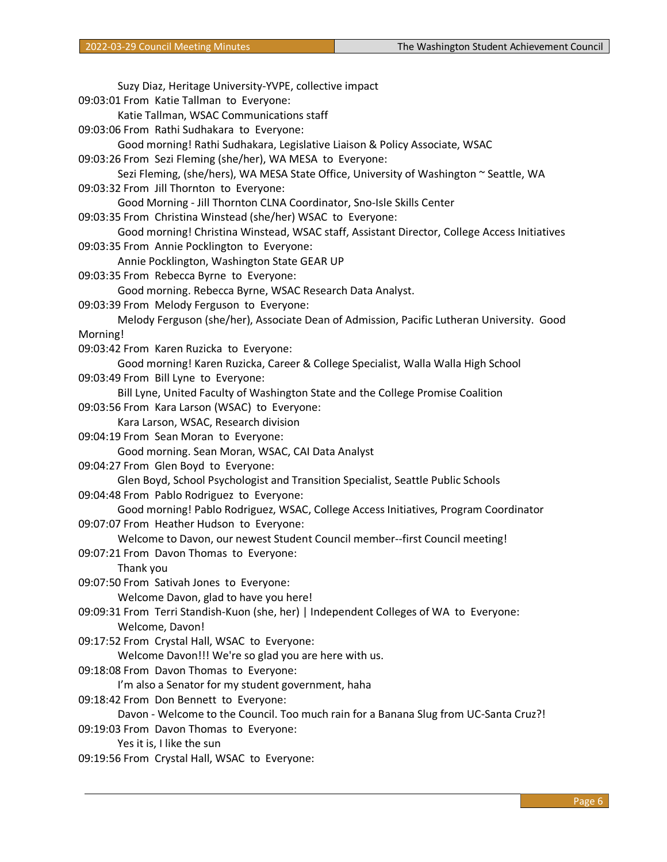Suzy Diaz, Heritage University-YVPE, collective impact 09:03:01 From Katie Tallman to Everyone: Katie Tallman, WSAC Communications staff 09:03:06 From Rathi Sudhakara to Everyone: Good morning! Rathi Sudhakara, Legislative Liaison & Policy Associate, WSAC 09:03:26 From Sezi Fleming (she/her), WA MESA to Everyone: Sezi Fleming, (she/hers), WA MESA State Office, University of Washington ~ Seattle, WA 09:03:32 From Jill Thornton to Everyone: Good Morning - Jill Thornton CLNA Coordinator, Sno-Isle Skills Center 09:03:35 From Christina Winstead (she/her) WSAC to Everyone: Good morning! Christina Winstead, WSAC staff, Assistant Director, College Access Initiatives 09:03:35 From Annie Pocklington to Everyone: Annie Pocklington, Washington State GEAR UP 09:03:35 From Rebecca Byrne to Everyone: Good morning. Rebecca Byrne, WSAC Research Data Analyst. 09:03:39 From Melody Ferguson to Everyone: Melody Ferguson (she/her), Associate Dean of Admission, Pacific Lutheran University. Good Morning! 09:03:42 From Karen Ruzicka to Everyone: Good morning! Karen Ruzicka, Career & College Specialist, Walla Walla High School 09:03:49 From Bill Lyne to Everyone: Bill Lyne, United Faculty of Washington State and the College Promise Coalition 09:03:56 From Kara Larson (WSAC) to Everyone: Kara Larson, WSAC, Research division 09:04:19 From Sean Moran to Everyone: Good morning. Sean Moran, WSAC, CAI Data Analyst 09:04:27 From Glen Boyd to Everyone: Glen Boyd, School Psychologist and Transition Specialist, Seattle Public Schools 09:04:48 From Pablo Rodriguez to Everyone: Good morning! Pablo Rodriguez, WSAC, College Access Initiatives, Program Coordinator 09:07:07 From Heather Hudson to Everyone: Welcome to Davon, our newest Student Council member--first Council meeting! 09:07:21 From Davon Thomas to Everyone: Thank you 09:07:50 From Sativah Jones to Everyone: Welcome Davon, glad to have you here! 09:09:31 From Terri Standish-Kuon (she, her) | Independent Colleges of WA to Everyone: Welcome, Davon! 09:17:52 From Crystal Hall, WSAC to Everyone: Welcome Davon!!! We're so glad you are here with us. 09:18:08 From Davon Thomas to Everyone: I'm also a Senator for my student government, haha 09:18:42 From Don Bennett to Everyone: Davon - Welcome to the Council. Too much rain for a Banana Slug from UC-Santa Cruz?! 09:19:03 From Davon Thomas to Everyone: Yes it is, I like the sun 09:19:56 From Crystal Hall, WSAC to Everyone: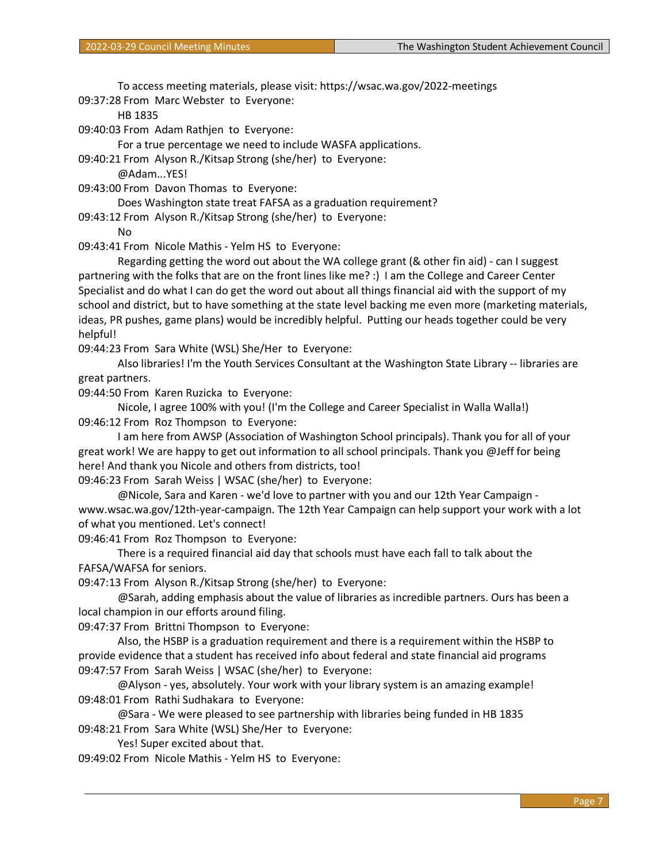To access meeting materials, please visit: https://wsac.wa.gov/2022-meetings 09:37:28 From Marc Webster to Everyone:

HB 1835

09:40:03 From Adam Rathjen to Everyone:

For a true percentage we need to include WASFA applications.

09:40:21 From Alyson R./Kitsap Strong (she/her) to Everyone:

@Adam...YES!

09:43:00 From Davon Thomas to Everyone:

Does Washington state treat FAFSA as a graduation requirement?

09:43:12 From Alyson R./Kitsap Strong (she/her) to Everyone:

No

09:43:41 From Nicole Mathis - Yelm HS to Everyone:

Regarding getting the word out about the WA college grant (& other fin aid) - can I suggest partnering with the folks that are on the front lines like me? :) I am the College and Career Center Specialist and do what I can do get the word out about all things financial aid with the support of my school and district, but to have something at the state level backing me even more (marketing materials, ideas, PR pushes, game plans) would be incredibly helpful. Putting our heads together could be very helpful!

09:44:23 From Sara White (WSL) She/Her to Everyone:

Also libraries! I'm the Youth Services Consultant at the Washington State Library -- libraries are great partners.

09:44:50 From Karen Ruzicka to Everyone:

Nicole, I agree 100% with you! (I'm the College and Career Specialist in Walla Walla!) 09:46:12 From Roz Thompson to Everyone:

I am here from AWSP (Association of Washington School principals). Thank you for all of your great work! We are happy to get out information to all school principals. Thank you @Jeff for being here! And thank you Nicole and others from districts, too!

09:46:23 From Sarah Weiss | WSAC (she/her) to Everyone:

@Nicole, Sara and Karen - we'd love to partner with you and our 12th Year Campaign www.wsac.wa.gov/12th-year-campaign. The 12th Year Campaign can help support your work with a lot of what you mentioned. Let's connect!

09:46:41 From Roz Thompson to Everyone:

There is a required financial aid day that schools must have each fall to talk about the FAFSA/WAFSA for seniors.

09:47:13 From Alyson R./Kitsap Strong (she/her) to Everyone:

@Sarah, adding emphasis about the value of libraries as incredible partners. Ours has been a local champion in our efforts around filing.

09:47:37 From Brittni Thompson to Everyone:

Also, the HSBP is a graduation requirement and there is a requirement within the HSBP to provide evidence that a student has received info about federal and state financial aid programs 09:47:57 From Sarah Weiss | WSAC (she/her) to Everyone:

@Alyson - yes, absolutely. Your work with your library system is an amazing example! 09:48:01 From Rathi Sudhakara to Everyone:

@Sara - We were pleased to see partnership with libraries being funded in HB 1835 09:48:21 From Sara White (WSL) She/Her to Everyone:

Yes! Super excited about that.

09:49:02 From Nicole Mathis - Yelm HS to Everyone: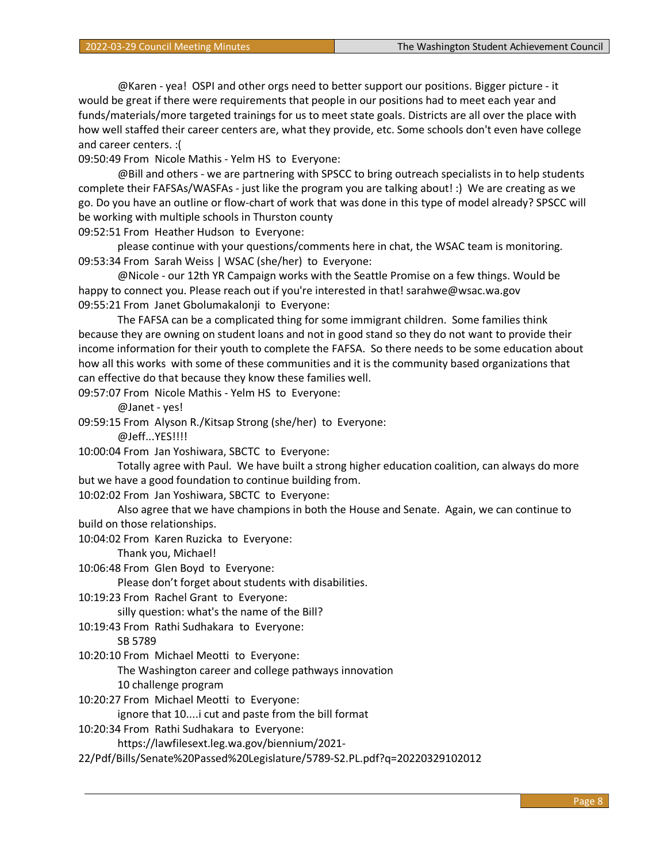@Karen - yea! OSPI and other orgs need to better support our positions. Bigger picture - it would be great if there were requirements that people in our positions had to meet each year and funds/materials/more targeted trainings for us to meet state goals. Districts are all over the place with how well staffed their career centers are, what they provide, etc. Some schools don't even have college and career centers. :(

09:50:49 From Nicole Mathis - Yelm HS to Everyone:

@Bill and others - we are partnering with SPSCC to bring outreach specialists in to help students complete their FAFSAs/WASFAs - just like the program you are talking about! :) We are creating as we go. Do you have an outline or flow-chart of work that was done in this type of model already? SPSCC will be working with multiple schools in Thurston county

09:52:51 From Heather Hudson to Everyone:

please continue with your questions/comments here in chat, the WSAC team is monitoring. 09:53:34 From Sarah Weiss | WSAC (she/her) to Everyone:

@Nicole - our 12th YR Campaign works with the Seattle Promise on a few things. Would be happy to connect you. Please reach out if you're interested in that! sarahwe@wsac.wa.gov 09:55:21 From Janet Gbolumakalonji to Everyone:

The FAFSA can be a complicated thing for some immigrant children. Some families think because they are owning on student loans and not in good stand so they do not want to provide their income information for their youth to complete the FAFSA. So there needs to be some education about how all this works with some of these communities and it is the community based organizations that can effective do that because they know these families well.

09:57:07 From Nicole Mathis - Yelm HS to Everyone:

@Janet - yes!

09:59:15 From Alyson R./Kitsap Strong (she/her) to Everyone:

@Jeff...YES!!!!

10:00:04 From Jan Yoshiwara, SBCTC to Everyone:

Totally agree with Paul. We have built a strong higher education coalition, can always do more but we have a good foundation to continue building from.

10:02:02 From Jan Yoshiwara, SBCTC to Everyone:

Also agree that we have champions in both the House and Senate. Again, we can continue to build on those relationships.

10:04:02 From Karen Ruzicka to Everyone:

Thank you, Michael!

10:06:48 From Glen Boyd to Everyone:

Please don't forget about students with disabilities.

10:19:23 From Rachel Grant to Everyone:

silly question: what's the name of the Bill?

10:19:43 From Rathi Sudhakara to Everyone:

SB 5789

10:20:10 From Michael Meotti to Everyone:

The Washington career and college pathways innovation

10 challenge program

10:20:27 From Michael Meotti to Everyone:

ignore that 10....i cut and paste from the bill format

10:20:34 From Rathi Sudhakara to Everyone:

https://lawfilesext.leg.wa.gov/biennium/2021-

22/Pdf/Bills/Senate%20Passed%20Legislature/5789-S2.PL.pdf?q=20220329102012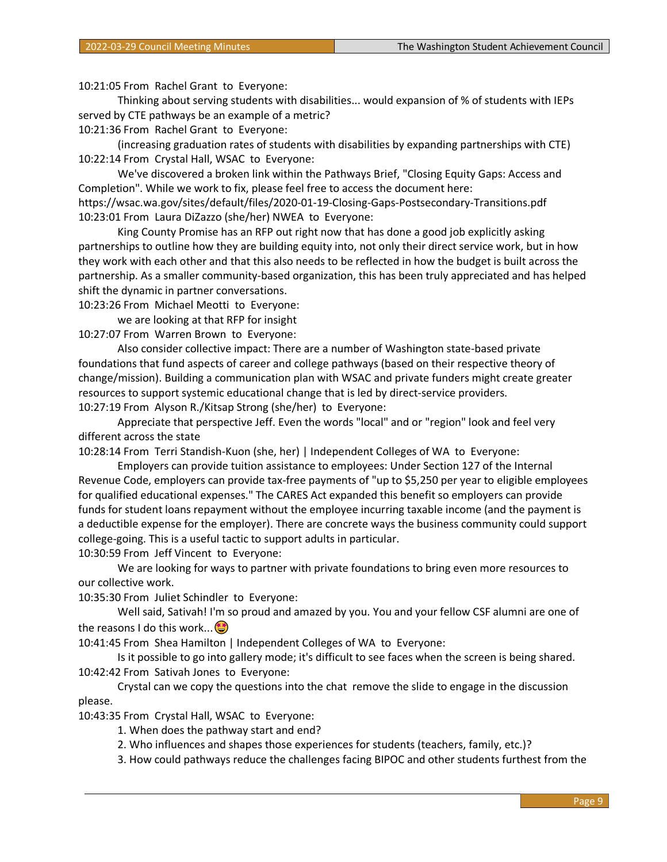10:21:05 From Rachel Grant to Everyone:

Thinking about serving students with disabilities... would expansion of % of students with IEPs served by CTE pathways be an example of a metric?

10:21:36 From Rachel Grant to Everyone:

(increasing graduation rates of students with disabilities by expanding partnerships with CTE) 10:22:14 From Crystal Hall, WSAC to Everyone:

We've discovered a broken link within the Pathways Brief, "Closing Equity Gaps: Access and Completion". While we work to fix, please feel free to access the document here: https://wsac.wa.gov/sites/default/files/2020-01-19-Closing-Gaps-Postsecondary-Transitions.pdf 10:23:01 From Laura DiZazzo (she/her) NWEA to Everyone:

King County Promise has an RFP out right now that has done a good job explicitly asking partnerships to outline how they are building equity into, not only their direct service work, but in how they work with each other and that this also needs to be reflected in how the budget is built across the partnership. As a smaller community-based organization, this has been truly appreciated and has helped shift the dynamic in partner conversations.

10:23:26 From Michael Meotti to Everyone:

we are looking at that RFP for insight

10:27:07 From Warren Brown to Everyone:

Also consider collective impact: There are a number of Washington state-based private foundations that fund aspects of career and college pathways (based on their respective theory of change/mission). Building a communication plan with WSAC and private funders might create greater resources to support systemic educational change that is led by direct-service providers. 10:27:19 From Alyson R./Kitsap Strong (she/her) to Everyone:

Appreciate that perspective Jeff. Even the words "local" and or "region" look and feel very different across the state

10:28:14 From Terri Standish-Kuon (she, her) | Independent Colleges of WA to Everyone:

Employers can provide tuition assistance to employees: Under Section 127 of the Internal Revenue Code, employers can provide tax-free payments of "up to \$5,250 per year to eligible employees for qualified educational expenses." The CARES Act expanded this benefit so employers can provide funds for student loans repayment without the employee incurring taxable income (and the payment is a deductible expense for the employer). There are concrete ways the business community could support college-going. This is a useful tactic to support adults in particular.

10:30:59 From Jeff Vincent to Everyone:

We are looking for ways to partner with private foundations to bring even more resources to our collective work.

10:35:30 From Juliet Schindler to Everyone:

Well said, Sativah! I'm so proud and amazed by you. You and your fellow CSF alumni are one of the reasons I do this work... $\bigcirc$ 

10:41:45 From Shea Hamilton | Independent Colleges of WA to Everyone:

Is it possible to go into gallery mode; it's difficult to see faces when the screen is being shared. 10:42:42 From Sativah Jones to Everyone:

Crystal can we copy the questions into the chat remove the slide to engage in the discussion please.

10:43:35 From Crystal Hall, WSAC to Everyone:

1. When does the pathway start and end?

2. Who influences and shapes those experiences for students (teachers, family, etc.)?

3. How could pathways reduce the challenges facing BIPOC and other students furthest from the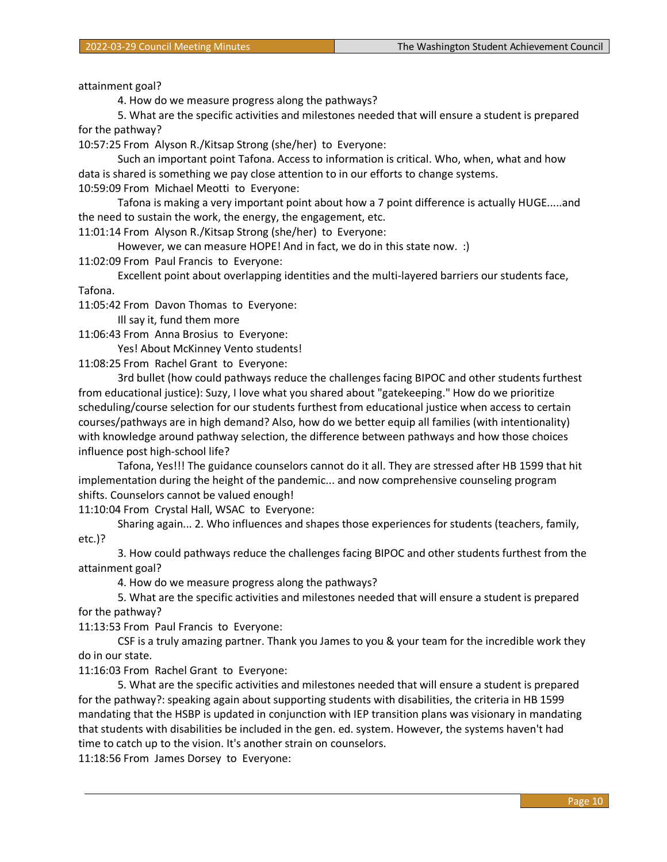attainment goal?

4. How do we measure progress along the pathways?

5. What are the specific activities and milestones needed that will ensure a student is prepared for the pathway?

10:57:25 From Alyson R./Kitsap Strong (she/her) to Everyone:

Such an important point Tafona. Access to information is critical. Who, when, what and how data is shared is something we pay close attention to in our efforts to change systems. 10:59:09 From Michael Meotti to Everyone:

Tafona is making a very important point about how a 7 point difference is actually HUGE.....and the need to sustain the work, the energy, the engagement, etc.

11:01:14 From Alyson R./Kitsap Strong (she/her) to Everyone:

However, we can measure HOPE! And in fact, we do in this state now. :)

11:02:09 From Paul Francis to Everyone:

Excellent point about overlapping identities and the multi-layered barriers our students face, Tafona.

11:05:42 From Davon Thomas to Everyone:

Ill say it, fund them more

11:06:43 From Anna Brosius to Everyone:

Yes! About McKinney Vento students!

11:08:25 From Rachel Grant to Everyone:

3rd bullet (how could pathways reduce the challenges facing BIPOC and other students furthest from educational justice): Suzy, I love what you shared about "gatekeeping." How do we prioritize scheduling/course selection for our students furthest from educational justice when access to certain courses/pathways are in high demand? Also, how do we better equip all families (with intentionality) with knowledge around pathway selection, the difference between pathways and how those choices influence post high-school life?

Tafona, Yes!!! The guidance counselors cannot do it all. They are stressed after HB 1599 that hit implementation during the height of the pandemic... and now comprehensive counseling program shifts. Counselors cannot be valued enough!

11:10:04 From Crystal Hall, WSAC to Everyone:

Sharing again... 2. Who influences and shapes those experiences for students (teachers, family, etc.)?

3. How could pathways reduce the challenges facing BIPOC and other students furthest from the attainment goal?

4. How do we measure progress along the pathways?

5. What are the specific activities and milestones needed that will ensure a student is prepared for the pathway?

11:13:53 From Paul Francis to Everyone:

CSF is a truly amazing partner. Thank you James to you & your team for the incredible work they do in our state.

11:16:03 From Rachel Grant to Everyone:

5. What are the specific activities and milestones needed that will ensure a student is prepared for the pathway?: speaking again about supporting students with disabilities, the criteria in HB 1599 mandating that the HSBP is updated in conjunction with IEP transition plans was visionary in mandating that students with disabilities be included in the gen. ed. system. However, the systems haven't had time to catch up to the vision. It's another strain on counselors.

11:18:56 From James Dorsey to Everyone: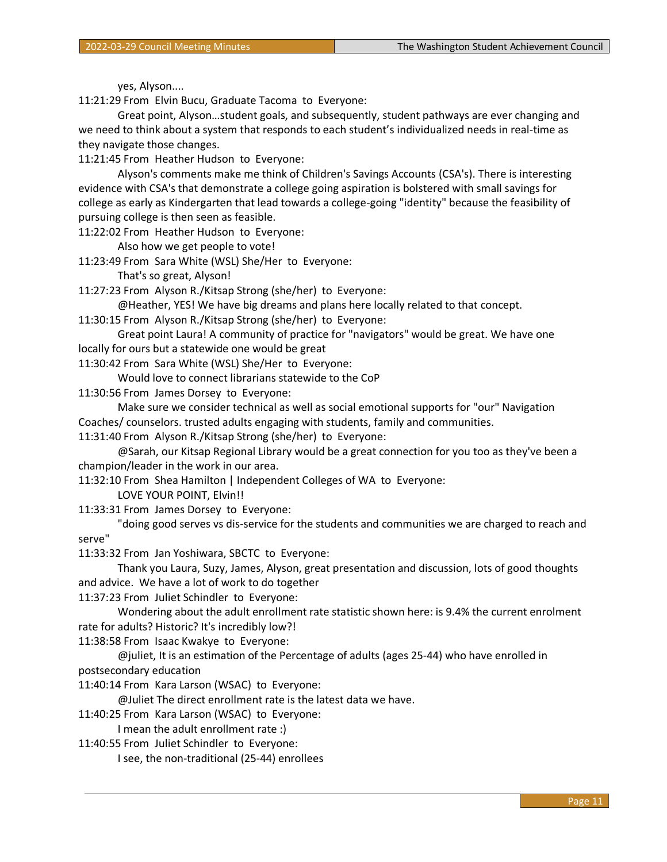yes, Alyson....

11:21:29 From Elvin Bucu, Graduate Tacoma to Everyone:

Great point, Alyson…student goals, and subsequently, student pathways are ever changing and we need to think about a system that responds to each student's individualized needs in real-time as they navigate those changes.

11:21:45 From Heather Hudson to Everyone:

Alyson's comments make me think of Children's Savings Accounts (CSA's). There is interesting evidence with CSA's that demonstrate a college going aspiration is bolstered with small savings for college as early as Kindergarten that lead towards a college-going "identity" because the feasibility of pursuing college is then seen as feasible.

11:22:02 From Heather Hudson to Everyone:

Also how we get people to vote!

11:23:49 From Sara White (WSL) She/Her to Everyone:

That's so great, Alyson!

11:27:23 From Alyson R./Kitsap Strong (she/her) to Everyone:

@Heather, YES! We have big dreams and plans here locally related to that concept.

11:30:15 From Alyson R./Kitsap Strong (she/her) to Everyone:

Great point Laura! A community of practice for "navigators" would be great. We have one locally for ours but a statewide one would be great

11:30:42 From Sara White (WSL) She/Her to Everyone:

Would love to connect librarians statewide to the CoP

11:30:56 From James Dorsey to Everyone:

Make sure we consider technical as well as social emotional supports for "our" Navigation

Coaches/ counselors. trusted adults engaging with students, family and communities.

11:31:40 From Alyson R./Kitsap Strong (she/her) to Everyone:

@Sarah, our Kitsap Regional Library would be a great connection for you too as they've been a champion/leader in the work in our area.

11:32:10 From Shea Hamilton | Independent Colleges of WA to Everyone:

LOVE YOUR POINT, Elvin!!

11:33:31 From James Dorsey to Everyone:

"doing good serves vs dis-service for the students and communities we are charged to reach and serve"

11:33:32 From Jan Yoshiwara, SBCTC to Everyone:

Thank you Laura, Suzy, James, Alyson, great presentation and discussion, lots of good thoughts and advice. We have a lot of work to do together

11:37:23 From Juliet Schindler to Everyone:

Wondering about the adult enrollment rate statistic shown here: is 9.4% the current enrolment rate for adults? Historic? It's incredibly low?!

11:38:58 From Isaac Kwakye to Everyone:

@juliet, It is an estimation of the Percentage of adults (ages 25-44) who have enrolled in postsecondary education

11:40:14 From Kara Larson (WSAC) to Everyone:

@Juliet The direct enrollment rate is the latest data we have.

11:40:25 From Kara Larson (WSAC) to Everyone:

I mean the adult enrollment rate :)

11:40:55 From Juliet Schindler to Everyone:

I see, the non-traditional (25-44) enrollees